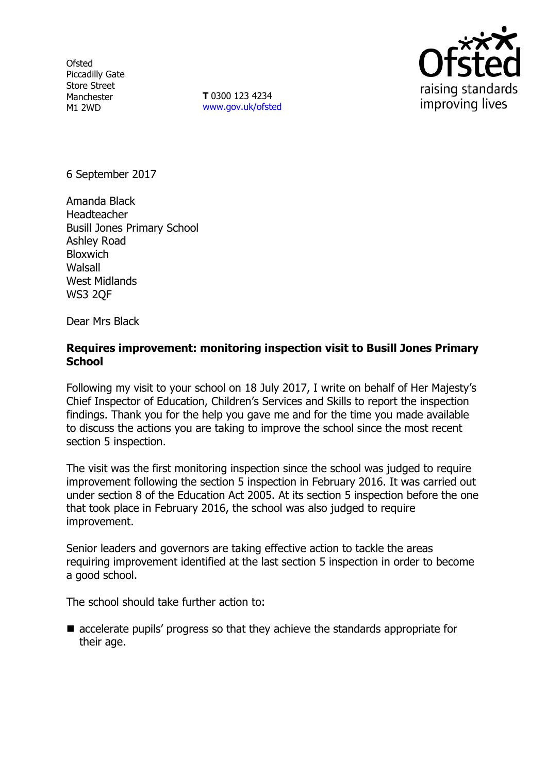**Ofsted** Piccadilly Gate Store Street Manchester M1 2WD

**T** 0300 123 4234 www.gov.uk/ofsted



6 September 2017

Amanda Black Headteacher Busill Jones Primary School Ashley Road **Bloxwich Walsall** West Midlands WS3 2QF

Dear Mrs Black

### **Requires improvement: monitoring inspection visit to Busill Jones Primary School**

Following my visit to your school on 18 July 2017, I write on behalf of Her Majesty's Chief Inspector of Education, Children's Services and Skills to report the inspection findings. Thank you for the help you gave me and for the time you made available to discuss the actions you are taking to improve the school since the most recent section 5 inspection.

The visit was the first monitoring inspection since the school was judged to require improvement following the section 5 inspection in February 2016. It was carried out under section 8 of the Education Act 2005. At its section 5 inspection before the one that took place in February 2016, the school was also judged to require improvement.

Senior leaders and governors are taking effective action to tackle the areas requiring improvement identified at the last section 5 inspection in order to become a good school.

The school should take further action to:

■ accelerate pupils' progress so that they achieve the standards appropriate for their age.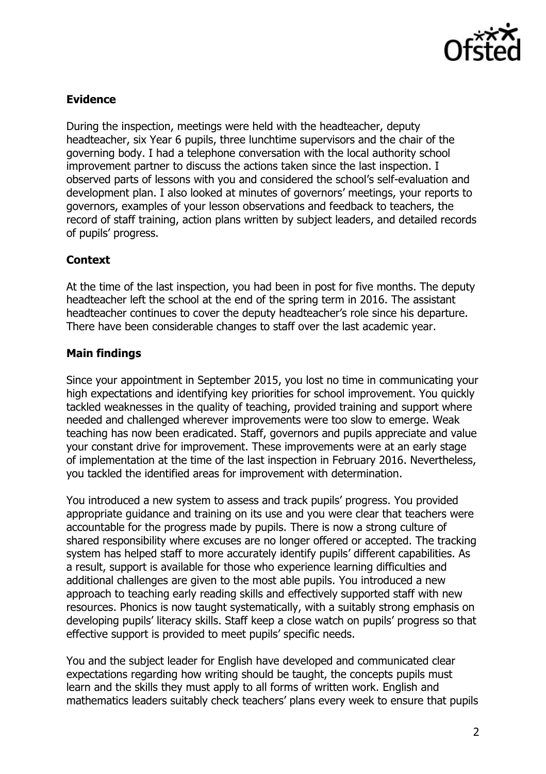

# **Evidence**

During the inspection, meetings were held with the headteacher, deputy headteacher, six Year 6 pupils, three lunchtime supervisors and the chair of the governing body. I had a telephone conversation with the local authority school improvement partner to discuss the actions taken since the last inspection. I observed parts of lessons with you and considered the school's self-evaluation and development plan. I also looked at minutes of governors' meetings, your reports to governors, examples of your lesson observations and feedback to teachers, the record of staff training, action plans written by subject leaders, and detailed records of pupils' progress.

## **Context**

At the time of the last inspection, you had been in post for five months. The deputy headteacher left the school at the end of the spring term in 2016. The assistant headteacher continues to cover the deputy headteacher's role since his departure. There have been considerable changes to staff over the last academic year.

## **Main findings**

Since your appointment in September 2015, you lost no time in communicating your high expectations and identifying key priorities for school improvement. You quickly tackled weaknesses in the quality of teaching, provided training and support where needed and challenged wherever improvements were too slow to emerge. Weak teaching has now been eradicated. Staff, governors and pupils appreciate and value your constant drive for improvement. These improvements were at an early stage of implementation at the time of the last inspection in February 2016. Nevertheless, you tackled the identified areas for improvement with determination.

You introduced a new system to assess and track pupils' progress. You provided appropriate guidance and training on its use and you were clear that teachers were accountable for the progress made by pupils. There is now a strong culture of shared responsibility where excuses are no longer offered or accepted. The tracking system has helped staff to more accurately identify pupils' different capabilities. As a result, support is available for those who experience learning difficulties and additional challenges are given to the most able pupils. You introduced a new approach to teaching early reading skills and effectively supported staff with new resources. Phonics is now taught systematically, with a suitably strong emphasis on developing pupils' literacy skills. Staff keep a close watch on pupils' progress so that effective support is provided to meet pupils' specific needs.

You and the subject leader for English have developed and communicated clear expectations regarding how writing should be taught, the concepts pupils must learn and the skills they must apply to all forms of written work. English and mathematics leaders suitably check teachers' plans every week to ensure that pupils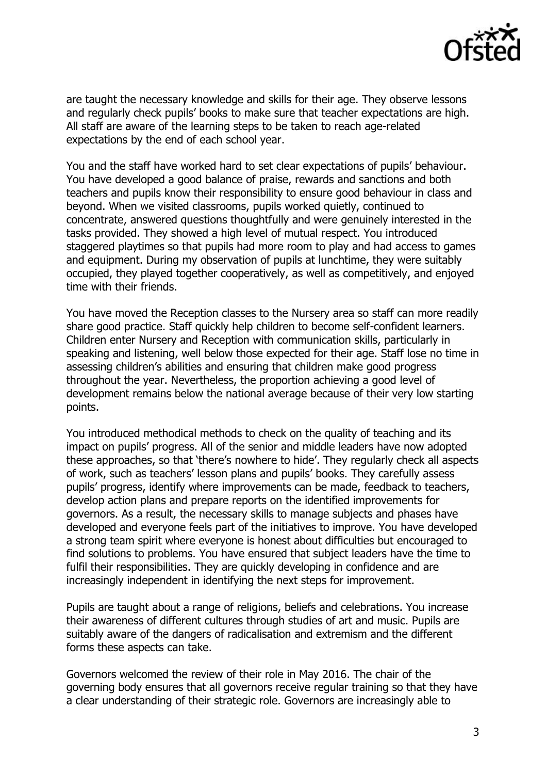

are taught the necessary knowledge and skills for their age. They observe lessons and regularly check pupils' books to make sure that teacher expectations are high. All staff are aware of the learning steps to be taken to reach age-related expectations by the end of each school year.

You and the staff have worked hard to set clear expectations of pupils' behaviour. You have developed a good balance of praise, rewards and sanctions and both teachers and pupils know their responsibility to ensure good behaviour in class and beyond. When we visited classrooms, pupils worked quietly, continued to concentrate, answered questions thoughtfully and were genuinely interested in the tasks provided. They showed a high level of mutual respect. You introduced staggered playtimes so that pupils had more room to play and had access to games and equipment. During my observation of pupils at lunchtime, they were suitably occupied, they played together cooperatively, as well as competitively, and enjoyed time with their friends.

You have moved the Reception classes to the Nursery area so staff can more readily share good practice. Staff quickly help children to become self-confident learners. Children enter Nursery and Reception with communication skills, particularly in speaking and listening, well below those expected for their age. Staff lose no time in assessing children's abilities and ensuring that children make good progress throughout the year. Nevertheless, the proportion achieving a good level of development remains below the national average because of their very low starting points.

You introduced methodical methods to check on the quality of teaching and its impact on pupils' progress. All of the senior and middle leaders have now adopted these approaches, so that 'there's nowhere to hide'. They regularly check all aspects of work, such as teachers' lesson plans and pupils' books. They carefully assess pupils' progress, identify where improvements can be made, feedback to teachers, develop action plans and prepare reports on the identified improvements for governors. As a result, the necessary skills to manage subjects and phases have developed and everyone feels part of the initiatives to improve. You have developed a strong team spirit where everyone is honest about difficulties but encouraged to find solutions to problems. You have ensured that subject leaders have the time to fulfil their responsibilities. They are quickly developing in confidence and are increasingly independent in identifying the next steps for improvement.

Pupils are taught about a range of religions, beliefs and celebrations. You increase their awareness of different cultures through studies of art and music. Pupils are suitably aware of the dangers of radicalisation and extremism and the different forms these aspects can take.

Governors welcomed the review of their role in May 2016. The chair of the governing body ensures that all governors receive regular training so that they have a clear understanding of their strategic role. Governors are increasingly able to